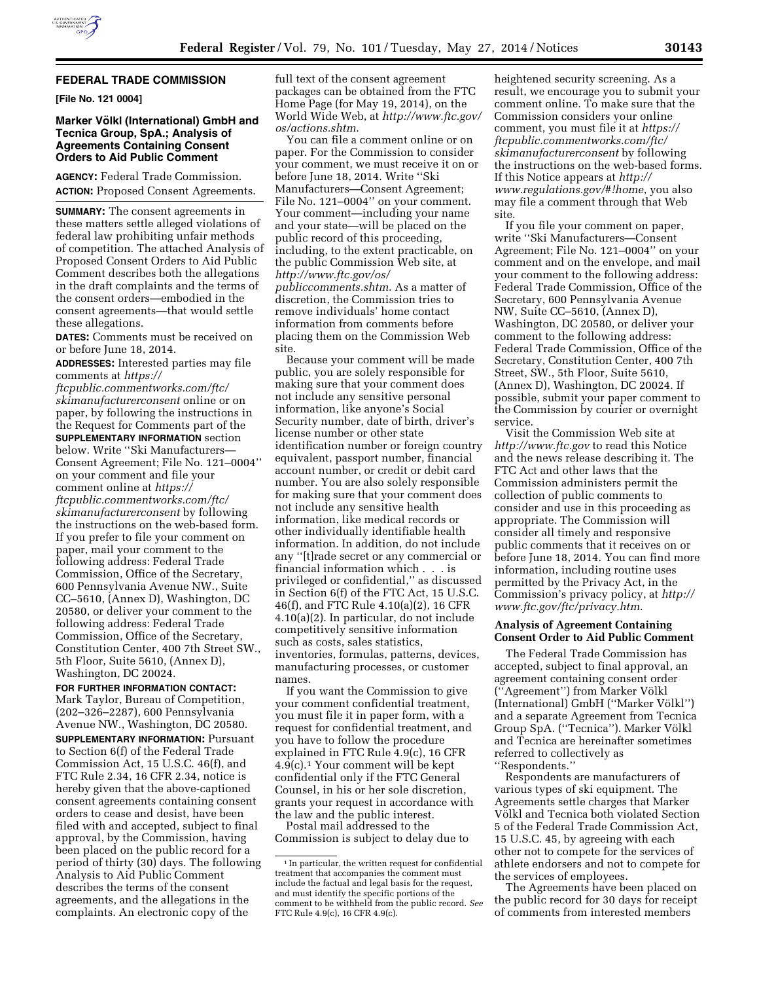

## **FEDERAL TRADE COMMISSION**

**[File No. 121 0004]** 

## **Marker Völkl (International) GmbH and Tecnica Group, SpA.; Analysis of Agreements Containing Consent Orders to Aid Public Comment**

**AGENCY:** Federal Trade Commission. **ACTION:** Proposed Consent Agreements.

**SUMMARY:** The consent agreements in these matters settle alleged violations of federal law prohibiting unfair methods of competition. The attached Analysis of Proposed Consent Orders to Aid Public Comment describes both the allegations in the draft complaints and the terms of the consent orders—embodied in the consent agreements—that would settle these allegations.

**DATES:** Comments must be received on or before June 18, 2014.

**ADDRESSES:** Interested parties may file comments at *[https://](https://ftcpublic.commentworks.com/ftc/skimanufacturerconsent)*

*[ftcpublic.commentworks.com/ftc/](https://ftcpublic.commentworks.com/ftc/skimanufacturerconsent) [skimanufacturerconsent](https://ftcpublic.commentworks.com/ftc/skimanufacturerconsent)* online or on paper, by following the instructions in the Request for Comments part of the **SUPPLEMENTARY INFORMATION** section below. Write ''Ski Manufacturers— Consent Agreement; File No. 121–0004'' on your comment and file your comment online at *[https://](https://ftcpublic.commentworks.com/ftc/skimanufacturerconsent) [ftcpublic.commentworks.com/ftc/](https://ftcpublic.commentworks.com/ftc/skimanufacturerconsent) [skimanufacturerconsent](https://ftcpublic.commentworks.com/ftc/skimanufacturerconsent)* by following the instructions on the web-based form. If you prefer to file your comment on paper, mail your comment to the following address: Federal Trade Commission, Office of the Secretary, 600 Pennsylvania Avenue NW., Suite CC–5610, (Annex D), Washington, DC 20580, or deliver your comment to the following address: Federal Trade Commission, Office of the Secretary, Constitution Center, 400 7th Street SW., 5th Floor, Suite 5610, (Annex D), Washington, DC 20024.

**FOR FURTHER INFORMATION CONTACT:**  Mark Taylor, Bureau of Competition, (202–326–2287), 600 Pennsylvania Avenue NW., Washington, DC 20580.

**SUPPLEMENTARY INFORMATION:** Pursuant to Section 6(f) of the Federal Trade Commission Act, 15 U.S.C. 46(f), and FTC Rule 2.34, 16 CFR 2.34, notice is hereby given that the above-captioned consent agreements containing consent orders to cease and desist, have been filed with and accepted, subject to final approval, by the Commission, having been placed on the public record for a period of thirty (30) days. The following Analysis to Aid Public Comment describes the terms of the consent agreements, and the allegations in the complaints. An electronic copy of the

full text of the consent agreement packages can be obtained from the FTC Home Page (for May 19, 2014), on the World Wide Web, at *[http://www.ftc.gov/](http://www.ftc.gov/os/actions.shtm)  [os/actions.shtm](http://www.ftc.gov/os/actions.shtm)*.

You can file a comment online or on paper. For the Commission to consider your comment, we must receive it on or before June 18, 2014. Write ''Ski Manufacturers—Consent Agreement; File No. 121–0004'' on your comment. Your comment—including your name and your state—will be placed on the public record of this proceeding, including, to the extent practicable, on the public Commission Web site, at *[http://www.ftc.gov/os/](http://www.ftc.gov/os/publiccomments.shtm) [publiccomments.shtm](http://www.ftc.gov/os/publiccomments.shtm)*. As a matter of discretion, the Commission tries to remove individuals' home contact information from comments before placing them on the Commission Web site.

Because your comment will be made public, you are solely responsible for making sure that your comment does not include any sensitive personal information, like anyone's Social Security number, date of birth, driver's license number or other state identification number or foreign country equivalent, passport number, financial account number, or credit or debit card number. You are also solely responsible for making sure that your comment does not include any sensitive health information, like medical records or other individually identifiable health information. In addition, do not include any ''[t]rade secret or any commercial or financial information which . . . is privileged or confidential,'' as discussed in Section 6(f) of the FTC Act, 15 U.S.C. 46(f), and FTC Rule 4.10(a)(2), 16 CFR 4.10(a)(2). In particular, do not include competitively sensitive information such as costs, sales statistics, inventories, formulas, patterns, devices, manufacturing processes, or customer names.

If you want the Commission to give your comment confidential treatment, you must file it in paper form, with a request for confidential treatment, and you have to follow the procedure explained in FTC Rule 4.9(c), 16 CFR 4.9(c).1 Your comment will be kept confidential only if the FTC General Counsel, in his or her sole discretion, grants your request in accordance with the law and the public interest.

Postal mail addressed to the Commission is subject to delay due to

heightened security screening. As a result, we encourage you to submit your comment online. To make sure that the Commission considers your online comment, you must file it at *[https://](https://ftcpublic.commentworks.com/ftc/skimanufacturerconsent) [ftcpublic.commentworks.com/ftc/](https://ftcpublic.commentworks.com/ftc/skimanufacturerconsent) [skimanufacturerconsent](https://ftcpublic.commentworks.com/ftc/skimanufacturerconsent)* by following the instructions on the web-based forms. If this Notice appears at *[http://](http://www.regulations.gov/#!home) [www.regulations.gov/#!home](http://www.regulations.gov/#!home)*, you also may file a comment through that Web site.

If you file your comment on paper, write ''Ski Manufacturers—Consent Agreement; File No. 121–0004'' on your comment and on the envelope, and mail your comment to the following address: Federal Trade Commission, Office of the Secretary, 600 Pennsylvania Avenue NW, Suite CC–5610, (Annex D), Washington, DC 20580, or deliver your comment to the following address: Federal Trade Commission, Office of the Secretary, Constitution Center, 400 7th Street, SW., 5th Floor, Suite 5610, (Annex D), Washington, DC 20024. If possible, submit your paper comment to the Commission by courier or overnight service.

Visit the Commission Web site at *<http://www.ftc.gov>*to read this Notice and the news release describing it. The FTC Act and other laws that the Commission administers permit the collection of public comments to consider and use in this proceeding as appropriate. The Commission will consider all timely and responsive public comments that it receives on or before June 18, 2014. You can find more information, including routine uses permitted by the Privacy Act, in the Commission's privacy policy, at *[http://](http://www.ftc.gov/ftc/privacy.htm) [www.ftc.gov/ftc/privacy.htm](http://www.ftc.gov/ftc/privacy.htm)*.

## **Analysis of Agreement Containing Consent Order to Aid Public Comment**

The Federal Trade Commission has accepted, subject to final approval, an agreement containing consent order ("Agreement") from Marker Völkl (International) GmbH ("Marker Völkl") and a separate Agreement from Tecnica Group SpA. ("Tecnica"). Marker Völkl and Tecnica are hereinafter sometimes referred to collectively as ''Respondents.''

Respondents are manufacturers of various types of ski equipment. The Agreements settle charges that Marker Völkl and Tecnica both violated Section 5 of the Federal Trade Commission Act, 15 U.S.C. 45, by agreeing with each other not to compete for the services of athlete endorsers and not to compete for the services of employees.

The Agreements have been placed on the public record for 30 days for receipt of comments from interested members

 $^{\rm 1}$  In particular, the written request for confidential treatment that accompanies the comment must include the factual and legal basis for the request, and must identify the specific portions of the comment to be withheld from the public record. *See*  FTC Rule 4.9(c), 16 CFR 4.9(c).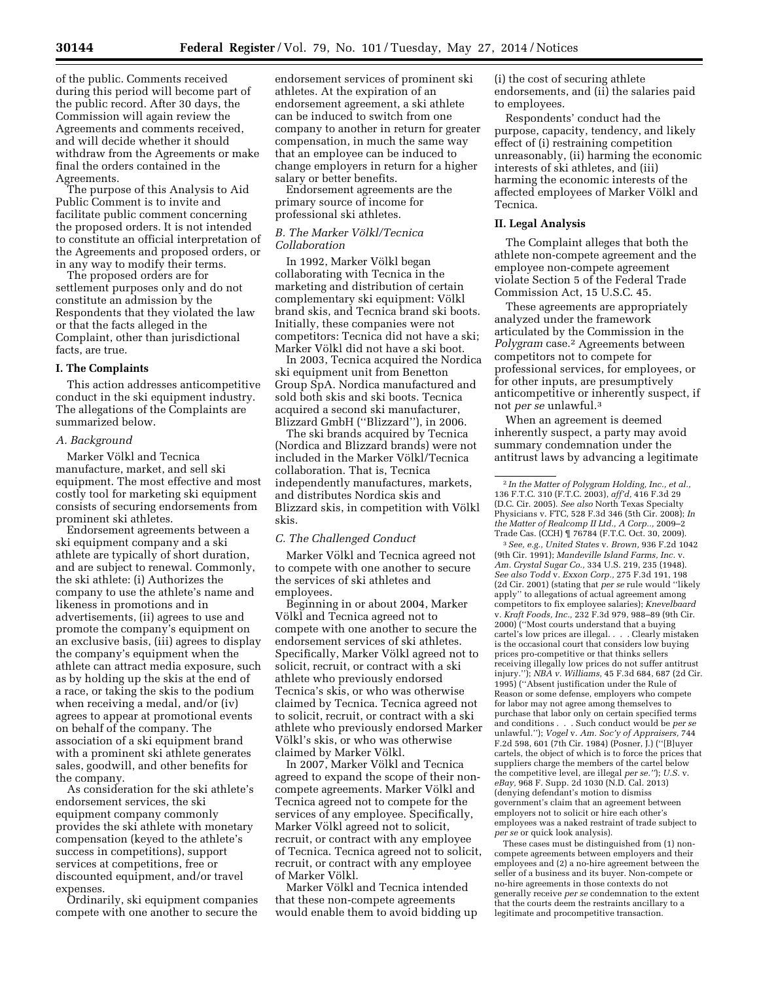of the public. Comments received during this period will become part of the public record. After 30 days, the Commission will again review the Agreements and comments received, and will decide whether it should withdraw from the Agreements or make final the orders contained in the Agreements.

The purpose of this Analysis to Aid Public Comment is to invite and facilitate public comment concerning the proposed orders. It is not intended to constitute an official interpretation of the Agreements and proposed orders, or in any way to modify their terms.

The proposed orders are for settlement purposes only and do not constitute an admission by the Respondents that they violated the law or that the facts alleged in the Complaint, other than jurisdictional facts, are true.

#### **I. The Complaints**

This action addresses anticompetitive conduct in the ski equipment industry. The allegations of the Complaints are summarized below.

## *A. Background*

Marker Völkl and Tecnica manufacture, market, and sell ski equipment. The most effective and most costly tool for marketing ski equipment consists of securing endorsements from prominent ski athletes.

Endorsement agreements between a ski equipment company and a ski athlete are typically of short duration, and are subject to renewal. Commonly, the ski athlete: (i) Authorizes the company to use the athlete's name and likeness in promotions and in advertisements, (ii) agrees to use and promote the company's equipment on an exclusive basis, (iii) agrees to display the company's equipment when the athlete can attract media exposure, such as by holding up the skis at the end of a race, or taking the skis to the podium when receiving a medal, and/or (iv) agrees to appear at promotional events on behalf of the company. The association of a ski equipment brand with a prominent ski athlete generates sales, goodwill, and other benefits for the company.

As consideration for the ski athlete's endorsement services, the ski equipment company commonly provides the ski athlete with monetary compensation (keyed to the athlete's success in competitions), support services at competitions, free or discounted equipment, and/or travel expenses.

Ordinarily, ski equipment companies compete with one another to secure the endorsement services of prominent ski athletes. At the expiration of an endorsement agreement, a ski athlete can be induced to switch from one company to another in return for greater compensation, in much the same way that an employee can be induced to change employers in return for a higher salary or better benefits.

Endorsement agreements are the primary source of income for professional ski athletes.

#### *B. The Marker Vo¨lkl/Tecnica Collaboration*

In 1992, Marker Völkl began collaborating with Tecnica in the marketing and distribution of certain complementary ski equipment: Völkl brand skis, and Tecnica brand ski boots. Initially, these companies were not competitors: Tecnica did not have a ski; Marker Völkl did not have a ski boot.

In 2003, Tecnica acquired the Nordica ski equipment unit from Benetton Group SpA. Nordica manufactured and sold both skis and ski boots. Tecnica acquired a second ski manufacturer, Blizzard GmbH (''Blizzard''), in 2006.

The ski brands acquired by Tecnica (Nordica and Blizzard brands) were not included in the Marker Völkl/Tecnica collaboration. That is, Tecnica independently manufactures, markets, and distributes Nordica skis and Blizzard skis, in competition with Völkl skis.

## *C. The Challenged Conduct*

Marker Völkl and Tecnica agreed not to compete with one another to secure the services of ski athletes and employees.

Beginning in or about 2004, Marker Völkl and Tecnica agreed not to compete with one another to secure the endorsement services of ski athletes. Specifically, Marker Völkl agreed not to solicit, recruit, or contract with a ski athlete who previously endorsed Tecnica's skis, or who was otherwise claimed by Tecnica. Tecnica agreed not to solicit, recruit, or contract with a ski athlete who previously endorsed Marker Völkl's skis, or who was otherwise claimed by Marker Völkl.

In 2007, Marker Völkl and Tecnica agreed to expand the scope of their noncompete agreements. Marker Völkl and Tecnica agreed not to compete for the services of any employee. Specifically, Marker Völkl agreed not to solicit, recruit, or contract with any employee of Tecnica. Tecnica agreed not to solicit, recruit, or contract with any employee of Marker Völkl.

Marker Völkl and Tecnica intended that these non-compete agreements would enable them to avoid bidding up (i) the cost of securing athlete endorsements, and (ii) the salaries paid to employees.

Respondents' conduct had the purpose, capacity, tendency, and likely effect of (i) restraining competition unreasonably, (ii) harming the economic interests of ski athletes, and (iii) harming the economic interests of the affected employees of Marker Völkl and Tecnica.

## **II. Legal Analysis**

The Complaint alleges that both the athlete non-compete agreement and the employee non-compete agreement violate Section 5 of the Federal Trade Commission Act, 15 U.S.C. 45.

These agreements are appropriately analyzed under the framework articulated by the Commission in the *Polygram* case.2 Agreements between competitors not to compete for professional services, for employees, or for other inputs, are presumptively anticompetitive or inherently suspect, if not *per se* unlawful.3

When an agreement is deemed inherently suspect, a party may avoid summary condemnation under the antitrust laws by advancing a legitimate

3*See, e.g., United States* v. *Brown,* 936 F.2d 1042 (9th Cir. 1991); *Mandeville Island Farms, Inc.* v. *Am. Crystal Sugar Co.,* 334 U.S. 219, 235 (1948). *See also Todd* v. *Exxon Corp.,* 275 F.3d 191, 198 (2d Cir. 2001) (stating that *per se* rule would ''likely apply'' to allegations of actual agreement among competitors to fix employee salaries); *Knevelbaard*  v. *Kraft Foods, Inc.,* 232 F.3d 979, 988–89 (9th Cir. 2000) (''Most courts understand that a buying cartel's low prices are illegal. . . . Clearly mistaken is the occasional court that considers low buying prices pro-competitive or that thinks sellers receiving illegally low prices do not suffer antitrust injury.''); *NBA v. Williams,* 45 F.3d 684, 687 (2d Cir. 1995) (''Absent justification under the Rule of Reason or some defense, employers who compete for labor may not agree among themselves to purchase that labor only on certain specified terms and conditions . . . Such conduct would be *per se*  unlawful.''); *Vogel* v. *Am. Soc'y of Appraisers,* 744 F.2d 598, 601 (7th Cir. 1984) (Posner, J.) (''[B]uyer cartels, the object of which is to force the prices that suppliers charge the members of the cartel below the competitive level, are illegal *per se.''*); *U.S.* v. *eBay,* 968 F. Supp. 2d 1030 (N.D. Cal. 2013) (denying defendant's motion to dismiss government's claim that an agreement between employers not to solicit or hire each other's employees was a naked restraint of trade subject to *per se* or quick look analysis).

These cases must be distinguished from (1) noncompete agreements between employers and their employees and (2) a no-hire agreement between the seller of a business and its buyer. Non-compete or no-hire agreements in those contexts do not generally receive *per se* condemnation to the extent that the courts deem the restraints ancillary to a legitimate and procompetitive transaction.

<sup>2</sup> *In the Matter of Polygram Holding, Inc., et al.,*  136 F.T.C. 310 (F.T.C. 2003), *aff'd,* 416 F.3d 29 (D.C. Cir. 2005). *See also* North Texas Specialty Physicians v. FTC, 528 F.3d 346 (5th Cir. 2008); *In the Matter of Realcomp II Ltd., A Corp..,* 2009–2 Trade Cas. (CCH) ¶ 76784 (F.T.C. Oct. 30, 2009).